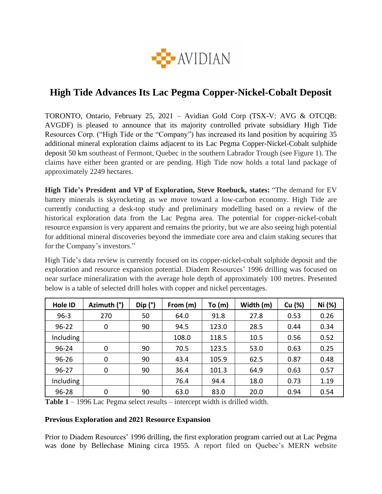

# **High Tide Advances Its Lac Pegma Copper-Nickel-Cobalt Deposit**

TORONTO, Ontario, February 25, 2021 – Avidian Gold Corp (TSX-V: AVG & OTCQB: AVGDF) is pleased to announce that its majority controlled private subsidiary High Tide Resources Corp. ("High Tide or the "Company") has increased its land position by acquiring 35 additional mineral exploration claims adjacent to its Lac Pegma Copper-Nickel-Cobalt sulphide deposit 50 km southeast of Fermont, Quebec in the southern Labrador Trough (see Figure 1). The claims have either been granted or are pending. High Tide now holds a total land package of approximately 2249 hectares.

**High Tide's President and VP of Exploration, Steve Roebuck, states:** "The demand for EV battery minerals is skyrocketing as we move toward a low-carbon economy. High Tide are currently conducting a desk-top study and preliminary modelling based on a review of the historical exploration data from the Lac Pegma area. The potential for copper-nickel-cobalt resource expansion is very apparent and remains the priority, but we are also seeing high potential for additional mineral discoveries beyond the immediate core area and claim staking secures that for the Company's investors."

High Tide's data review is currently focused on its copper-nickel-cobalt sulphide deposit and the exploration and resource expansion potential. Diadem Resources' 1996 drilling was focused on near surface mineralization with the average hole depth of approximately 100 metres. Presented below is a table of selected drill holes with copper and nickel percentages.

| <b>Hole ID</b> | Azimuth (°) | Dip(') | From (m) | To (m) | Width (m) | Cu (%) | Ni (%) |
|----------------|-------------|--------|----------|--------|-----------|--------|--------|
| $96 - 3$       | 270         | 50     | 64.0     | 91.8   | 27.8      | 0.53   | 0.26   |
| $96 - 22$      | 0           | 90     | 94.5     | 123.0  | 28.5      | 0.44   | 0.34   |
| Including      |             |        | 108.0    | 118.5  | 10.5      | 0.56   | 0.52   |
| $96 - 24$      | 0           | 90     | 70.5     | 123.5  | 53.0      | 0.63   | 0.25   |
| $96 - 26$      | 0           | 90     | 43.4     | 105.9  | 62.5      | 0.87   | 0.48   |
| $96 - 27$      | 0           | 90     | 36.4     | 101.3  | 64.9      | 0.63   | 0.57   |
| Including      |             |        | 76.4     | 94.4   | 18.0      | 0.73   | 1.19   |
| 96-28          | 0           | 90     | 63.0     | 83.0   | 20.0      | 0.94   | 0.54   |

**Table 1** – 1996 Lac Pegma select results – intercept width is drilled width.

#### **Previous Exploration and 2021 Resource Expansion**

Prior to Diadem Resources' 1996 drilling, the first exploration program carried out at Lac Pegma was done by Bellechase Mining circa 1955. A report filed on Quebec's MERN website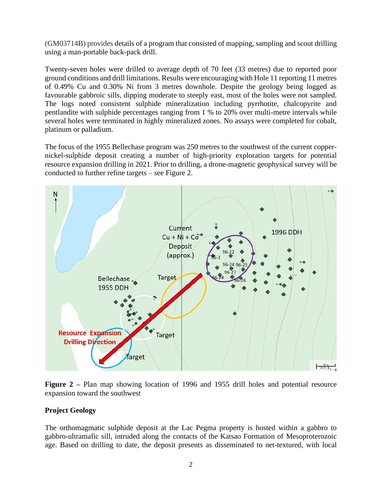(GM03714B) provides details of a program that consisted of mapping, sampling and scout drilling using a man-portable back-pack drill.

Twenty-seven holes were drilled to average depth of 70 feet (33 metres) due to reported poor ground conditions and drill limitations. Results were encouraging with Hole 11 reporting 11 metres of 0.49% Cu and 0.30% Ni from 3 metres downhole. Despite the geology being logged as favourable gabbroic sills, dipping moderate to steeply east, most of the holes were not sampled. The logs noted consistent sulphide mineralization including pyrrhotite, chalcopyrite and pentlandite with sulphide percentages ranging from 1 % to 20% over multi-metre intervals while several holes were terminated in highly mineralized zones. No assays were completed for cobalt, platinum or palladium.

The focus of the 1955 Bellechase program was 250 metres to the southwest of the current coppernickel-sulphide deposit creating a number of high-priority exploration targets for potential resource expansion drilling in 2021. Prior to drilling, a drone-magnetic geophysical survey will be conducted to further refine targets – see Figure 2.



**Figure 2** – Plan map showing location of 1996 and 1955 drill holes and potential resource expansion toward the southwest

### **Project Geology**

The orthomagmatic sulphide deposit at the Lac Pegma property is hosted within a gabbro to gabbro-ultramafic sill, intruded along the contacts of the Katsao Formation of Mesoproterozoic age. Based on drilling to date, the deposit presents as disseminated to net-textured, with local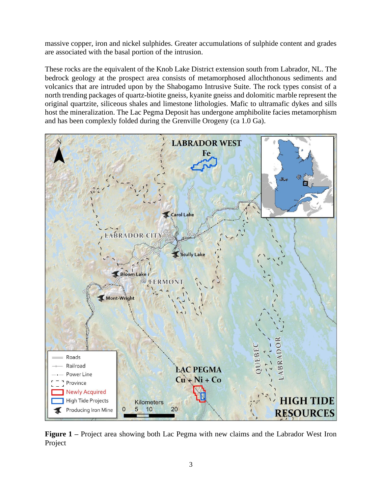massive copper, iron and nickel sulphides. Greater accumulations of sulphide content and grades are associated with the basal portion of the intrusion.

These rocks are the equivalent of the Knob Lake District extension south from Labrador, NL. The bedrock geology at the prospect area consists of metamorphosed allochthonous sediments and volcanics that are intruded upon by the Shabogamo Intrusive Suite. The rock types consist of a north trending packages of quartz-biotite gneiss, kyanite gneiss and dolomitic marble represent the original quartzite, siliceous shales and limestone lithologies. Mafic to ultramafic dykes and sills host the mineralization. The Lac Pegma Deposit has undergone amphibolite facies metamorphism and has been complexly folded during the Grenville Orogeny (ca 1.0 Ga).



**Figure 1 –** Project area showing both Lac Pegma with new claims and the Labrador West Iron Project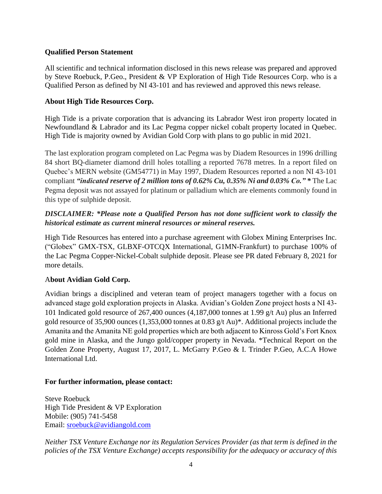### **Qualified Person Statement**

All scientific and technical information disclosed in this news release was prepared and approved by Steve Roebuck, P.Geo., President & VP Exploration of High Tide Resources Corp. who is a Qualified Person as defined by NI 43-101 and has reviewed and approved this news release.

## **About High Tide Resources Corp.**

High Tide is a private corporation that is advancing its Labrador West iron property located in Newfoundland & Labrador and its Lac Pegma copper nickel cobalt property located in Quebec. High Tide is majority owned by Avidian Gold Corp with plans to go public in mid 2021.

The last exploration program completed on Lac Pegma was by Diadem Resources in 1996 drilling 84 short BQ-diameter diamond drill holes totalling a reported 7678 metres. In a report filed on Quebec's MERN website (GM54771) in May 1997, Diadem Resources reported a non NI 43-101 compliant *"indicated reserve of 2 million tons of 0.62% Cu, 0.35% Ni and 0.03% Co." \** The Lac Pegma deposit was not assayed for platinum or palladium which are elements commonly found in this type of sulphide deposit.

# *DISCLAIMER: \*Please note a Qualified Person has not done sufficient work to classify the historical estimate as current mineral resources or mineral reserves.*

High Tide Resources has entered into a purchase agreement with Globex Mining Enterprises Inc. ("Globex" GMX-TSX, GLBXF-OTCQX International, G1MN-Frankfurt) to purchase 100% of the Lac Pegma Copper-Nickel-Cobalt sulphide deposit. Please see PR dated February 8, 2021 for more details.

### A**bout Avidian Gold Corp.**

Avidian brings a disciplined and veteran team of project managers together with a focus on advanced stage gold exploration projects in Alaska. Avidian's Golden Zone project hosts a NI 43- 101 Indicated gold resource of 267,400 ounces (4,187,000 tonnes at 1.99 g/t Au) plus an Inferred gold resource of 35,900 ounces (1,353,000 tonnes at 0.83 g/t Au)\*. Additional projects include the Amanita and the Amanita NE gold properties which are both adjacent to Kinross Gold's Fort Knox gold mine in Alaska, and the Jungo gold/copper property in Nevada. \*Technical Report on the Golden Zone Property, August 17, 2017, L. McGarry P.Geo & I. Trinder P.Geo, A.C.A Howe International Ltd.

### **For further information, please contact:**

Steve Roebuck High Tide President & VP Exploration Mobile: (905) 741-5458 Email: [sroebuck@avidiangold.com](mailto:sroebuck@avidiangold.com)

*Neither TSX Venture Exchange nor its Regulation Services Provider (as that term is defined in the policies of the TSX Venture Exchange) accepts responsibility for the adequacy or accuracy of this*